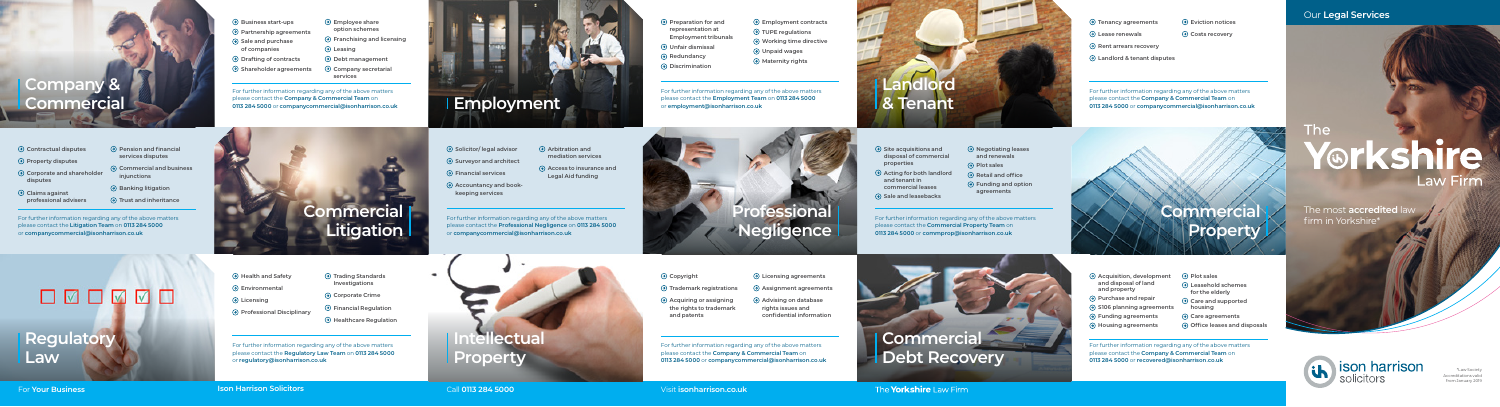## Our **Legal Services**

The **Yorkshire** Law Firm



The

firm in Yorkshire\*





\*Law Society

Accreditations valid

from January 2019

For further information regarding any of the above matters please contact the **Company & Commercial Team** on **0113 284 5000** or **companycommercial@isonharrison.co.uk**

| $\Theta$ Business start-ups     | ( <del>၇</del> ) Er |
|---------------------------------|---------------------|
| $\Theta$ Partnership agreements | Οľ                  |
| $\Theta$ Sale and purchase      | ⊙ Fr                |
| of companies                    | $\Theta$ Le         |
| $\Theta$ Drafting of contracts  | $\Theta$ D          |
| $\Theta$ Shareholder agreements | O Co                |
|                                 |                     |

- **Employee share option schemes**
- **Franchising and licensing**
- **Leasing Debt management**
- **Company secretarial services**

For further information regarding any of the above matters please contact the **Regulatory Law Team** on **0113 284 5000** or **regulatory@isonharrison.co.uk**

## OMOMMO **Regulatory Law**

**Health and Safety Environmental Licensing Professional Disciplinary**

- **Trading Standards Investigations**
- **Corporate Crime**
- **Financial Regulation**
- **Healthcare Regulation**

For further information regarding any of the above matters please contact the **Litigation Team** on **0113 284 5000** or **companycommercial@isonharrison.co.uk**

- **Contractual disputes Property disputes Corporate and shareholder disputes Claims against professional advisers Pension and financial services disputes Trust and inheritance**
	- **Commercial and business injunctions Banking litigation**

**Commercial Litigation**

## **Company & Commercial**

For further information regarding any of the above matters please contact the **Employment Team** on **0113 284 5000**

or **employment@isonharrison.co.uk**

- **Preparation for and representation at Employment tribunals**
- **Unfair dismissal**
- **Redundancy**
- **Discrimination**

- $\Theta$  Surveyor and architect
- **Financial services**
- **Accountancy and bookkeeping services**
- 
- **Employment contracts TUPE regulations**
	- **Working time directive Unpaid wages**
	-

**Maternity rights**

**properties Acting for both landlord and tenant in commercial leases**   $\Theta$  Sale and leasebacks



For further information regarding any of the above matters please contact the **Company & Commercial Team** on **0113 284 5000** or **companycommercial@isonharrison.co.uk**

 **Tenancy agreements Lease renewals Rent arrears recovery Landlord & tenant disputes Eviction notices Costs recovery**

For further information regarding any of the above matters please contact the **Company & Commercial Team** on **0113 284 5000** or **companycommercial@isonharrison.co.uk**

- **Copyright**
- **Trademark registrations**
- **Acquiring or assigning the rights to trademark and patents**

 **Licensing agreements Assignment agreements Advising on database**

**rights issues and confidential information**

> For further information regarding any of the above matters please contact the **Company & Commercial Team** on **0113 284 5000** or **recovered@isonharrison.co.uk**

| $\Theta$ Acquisition, development<br>and disposal of land<br>and property<br>$\Theta$ Purchase and repair | $\Theta$ Plot sales<br>$\Theta$ Leasehold schemes<br>for the elderly |
|-----------------------------------------------------------------------------------------------------------|----------------------------------------------------------------------|
| $\odot$ S106 planning agreements                                                                          | $\Theta$ Care and supported<br>housing                               |
| $\Theta$ Funding agreements                                                                               | $\Theta$ Care agreements                                             |
| $\Theta$ Housing agreements                                                                               | → Office leases and disposals                                        |

For further information regarding any of the above matters please contact the **Professional Negligence** on **0113 284 5000** or **companycommercial@isonharrison.co.uk**

### **Solicitor/ legal advisor**

 **Arbitration and mediation services Access to insurance and Legal Aid funding**

> For further information regarding any of the above matters please contact the **Commercial Property Team** on **0113 284 5000** or **commprop@isonharrison.co.uk**

 **Site acquisitions and disposal of commercial** 

 **Negotiating leases and renewals A** Plot sales  **Retail and office Funding and option agreements**





# **Property**